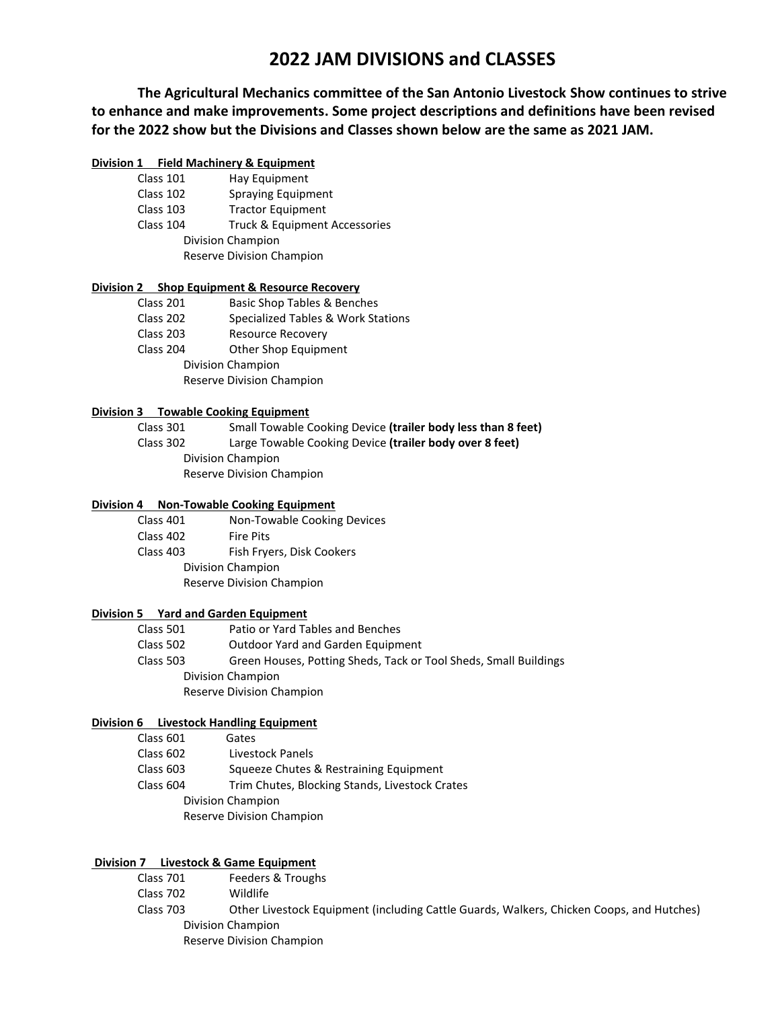# **2022 JAM DIVISIONS and CLASSES**

**The Agricultural Mechanics committee of the San Antonio Livestock Show continues to strive to enhance and make improvements. Some project descriptions and definitions have been revised for the 2022 show but the Divisions and Classes shown below are the same as 2021 JAM.** 

## **Division 1 Field Machinery & Equipment**

|                   | Class 101 | Hay Equipment                 |
|-------------------|-----------|-------------------------------|
|                   | Class 102 | <b>Spraying Equipment</b>     |
|                   | Class 103 | <b>Tractor Equipment</b>      |
|                   | Class 104 | Truck & Equipment Accessories |
| Division Champion |           |                               |
|                   |           | Reserve Division Champion     |

## **Division 2 Shop Equipment & Resource Recovery**

| Class 201                 | <b>Basic Shop Tables &amp; Benches</b> |  |
|---------------------------|----------------------------------------|--|
| Class 202                 | Specialized Tables & Work Stations     |  |
| Class 203                 | <b>Resource Recovery</b>               |  |
| Class 204                 | Other Shop Equipment                   |  |
| Division Champion         |                                        |  |
| Reserve Division Champion |                                        |  |
|                           |                                        |  |

#### **Division 3 Towable Cooking Equipment**

| Class 301 | Small Towable Cooking Device (trailer body less than 8 feet) |
|-----------|--------------------------------------------------------------|
| Class 302 | Large Towable Cooking Device (trailer body over 8 feet)      |
|           | Division Champion                                            |
|           | Reserve Division Champion                                    |

## **Division 4 Non-Towable Cooking Equipment**

| Class 401                 | Non-Towable Cooking Devices |
|---------------------------|-----------------------------|
| Class 402                 | <b>Fire Pits</b>            |
| Class 403                 | Fish Fryers, Disk Cookers   |
| Division Champion         |                             |
| Reserve Division Champion |                             |
|                           |                             |

# **Division 5 Yard and Garden Equipment**

| Class 501                 | Patio or Yard Tables and Benches                                 |
|---------------------------|------------------------------------------------------------------|
| Class 502                 | Outdoor Yard and Garden Equipment                                |
| Class 503                 | Green Houses, Potting Sheds, Tack or Tool Sheds, Small Buildings |
| Division Champion         |                                                                  |
| Reserve Division Champion |                                                                  |
|                           |                                                                  |

#### **Division 6 Livestock Handling Equipment**

| Class 601                 | Gates                                          |
|---------------------------|------------------------------------------------|
| Class 602                 | Livestock Panels                               |
| Class 603                 | Squeeze Chutes & Restraining Equipment         |
| Class 604                 | Trim Chutes, Blocking Stands, Livestock Crates |
| Division Champion         |                                                |
| Reserve Division Champion |                                                |

## **Division 7** Livestock & Game Equipment

Class 701 Feeders & Troughs Class 702 Wildlife Class 703 Other Livestock Equipment (including Cattle Guards, Walkers, Chicken Coops, and Hutches) Division Champion Reserve Division Champion